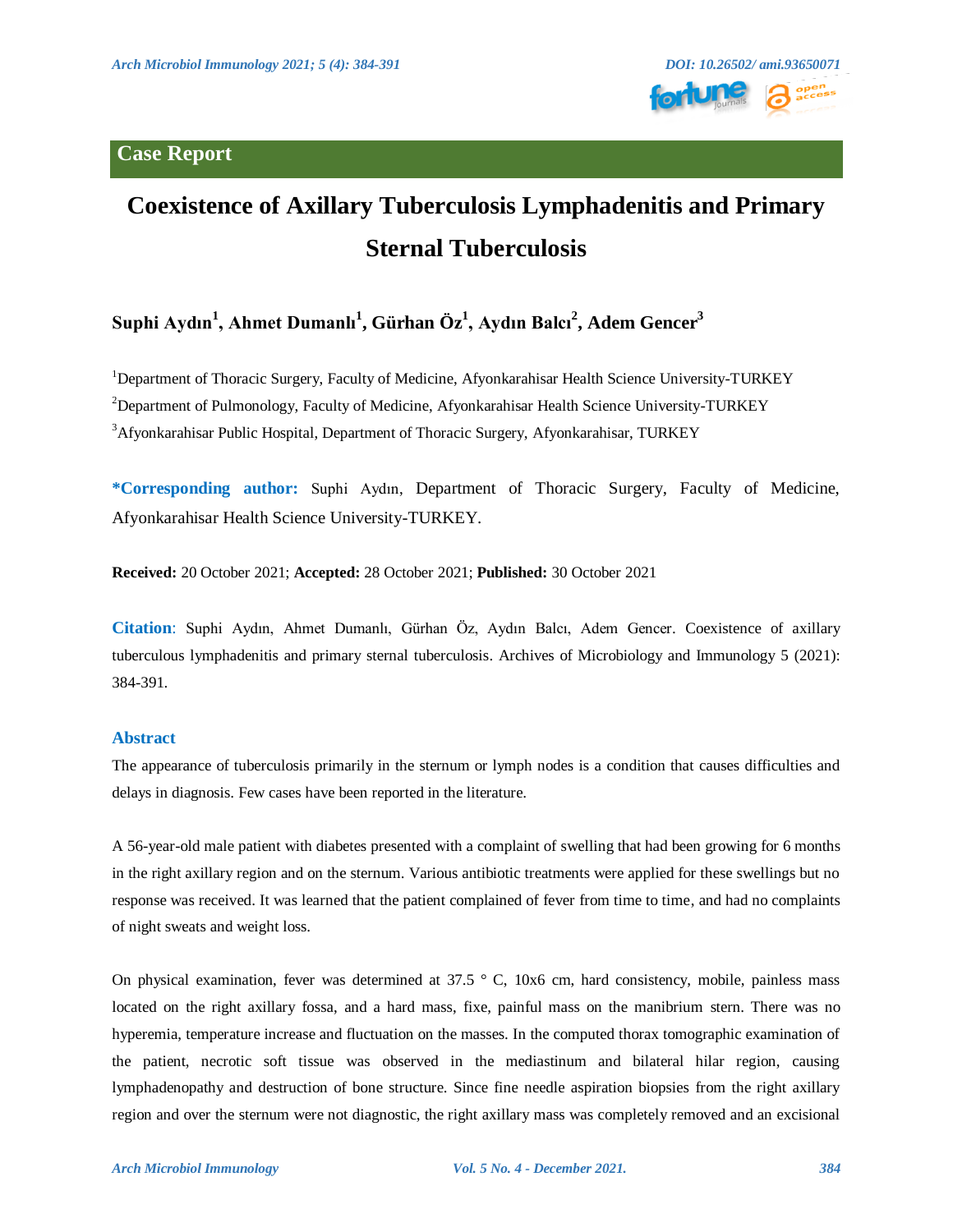### **Case Report**



# **Coexistence of Axillary Tuberculosis Lymphadenitis and Primary Sternal Tuberculosis**

## **Suphi Aydın<sup>1</sup> , Ahmet Dumanlı<sup>1</sup> , Gürhan Öz<sup>1</sup> , Aydın Balcı<sup>2</sup> , Adem Gencer<sup>3</sup>**

<sup>1</sup>Department of Thoracic Surgery, Faculty of Medicine, Afyonkarahisar Health Science University-TURKEY <sup>2</sup>Department of Pulmonology, Faculty of Medicine, Afyonkarahisar Health Science University-TURKEY <sup>3</sup>Afyonkarahisar Public Hospital, Department of Thoracic Surgery, Afyonkarahisar, TURKEY

**\*Corresponding author:** Suphi Aydın, Department of Thoracic Surgery, Faculty of Medicine, Afyonkarahisar Health Science University-TURKEY.

**Received:** 20 October 2021; **Accepted:** 28 October 2021; **Published:** 30 October 2021

**Citation**: Suphi Aydın, Ahmet Dumanlı, Gürhan Öz, Aydın Balcı, Adem Gencer. Coexistence of axillary tuberculous lymphadenitis and primary sternal tuberculosis. Archives of Microbiology and Immunology 5 (2021): 384-391.

#### **Abstract**

The appearance of tuberculosis primarily in the sternum or lymph nodes is a condition that causes difficulties and delays in diagnosis. Few cases have been reported in the literature.

A 56-year-old male patient with diabetes presented with a complaint of swelling that had been growing for 6 months in the right axillary region and on the sternum. Various antibiotic treatments were applied for these swellings but no response was received. It was learned that the patient complained of fever from time to time, and had no complaints of night sweats and weight loss.

On physical examination, fever was determined at 37.5 ° C, 10x6 cm, hard consistency, mobile, painless mass located on the right axillary fossa, and a hard mass, fixe, painful mass on the manibrium stern. There was no hyperemia, temperature increase and fluctuation on the masses. In the computed thorax tomographic examination of the patient, necrotic soft tissue was observed in the mediastinum and bilateral hilar region, causing lymphadenopathy and destruction of bone structure. Since fine needle aspiration biopsies from the right axillary region and over the sternum were not diagnostic, the right axillary mass was completely removed and an excisional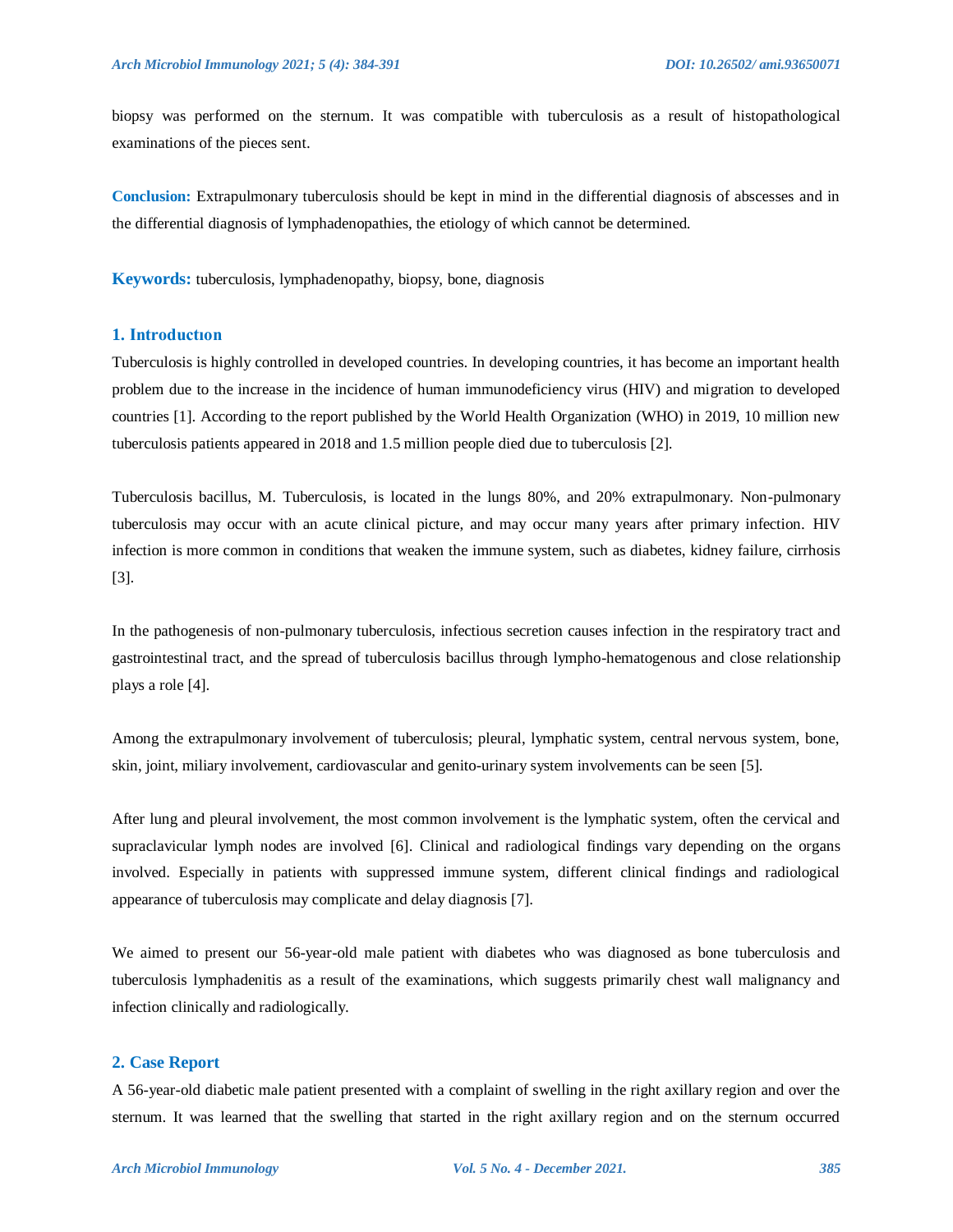biopsy was performed on the sternum. It was compatible with tuberculosis as a result of histopathological examinations of the pieces sent.

**Conclusion:** Extrapulmonary tuberculosis should be kept in mind in the differential diagnosis of abscesses and in the differential diagnosis of lymphadenopathies, the etiology of which cannot be determined.

**Keywords:** tuberculosis, lymphadenopathy, biopsy, bone, diagnosis

#### **1. Introductıon**

Tuberculosis is highly controlled in developed countries. In developing countries, it has become an important health problem due to the increase in the incidence of human immunodeficiency virus (HIV) and migration to developed countries [1]. According to the report published by the World Health Organization (WHO) in 2019, 10 million new tuberculosis patients appeared in 2018 and 1.5 million people died due to tuberculosis [2].

Tuberculosis bacillus, M. Tuberculosis, is located in the lungs 80%, and 20% extrapulmonary. Non-pulmonary tuberculosis may occur with an acute clinical picture, and may occur many years after primary infection. HIV infection is more common in conditions that weaken the immune system, such as diabetes, kidney failure, cirrhosis [3].

In the pathogenesis of non-pulmonary tuberculosis, infectious secretion causes infection in the respiratory tract and gastrointestinal tract, and the spread of tuberculosis bacillus through lympho-hematogenous and close relationship plays a role [4].

Among the extrapulmonary involvement of tuberculosis; pleural, lymphatic system, central nervous system, bone, skin, joint, miliary involvement, cardiovascular and genito-urinary system involvements can be seen [5].

After lung and pleural involvement, the most common involvement is the lymphatic system, often the cervical and supraclavicular lymph nodes are involved [6]. Clinical and radiological findings vary depending on the organs involved. Especially in patients with suppressed immune system, different clinical findings and radiological appearance of tuberculosis may complicate and delay diagnosis [7].

We aimed to present our 56-year-old male patient with diabetes who was diagnosed as bone tuberculosis and tuberculosis lymphadenitis as a result of the examinations, which suggests primarily chest wall malignancy and infection clinically and radiologically.

#### **2. Case Report**

A 56-year-old diabetic male patient presented with a complaint of swelling in the right axillary region and over the sternum. It was learned that the swelling that started in the right axillary region and on the sternum occurred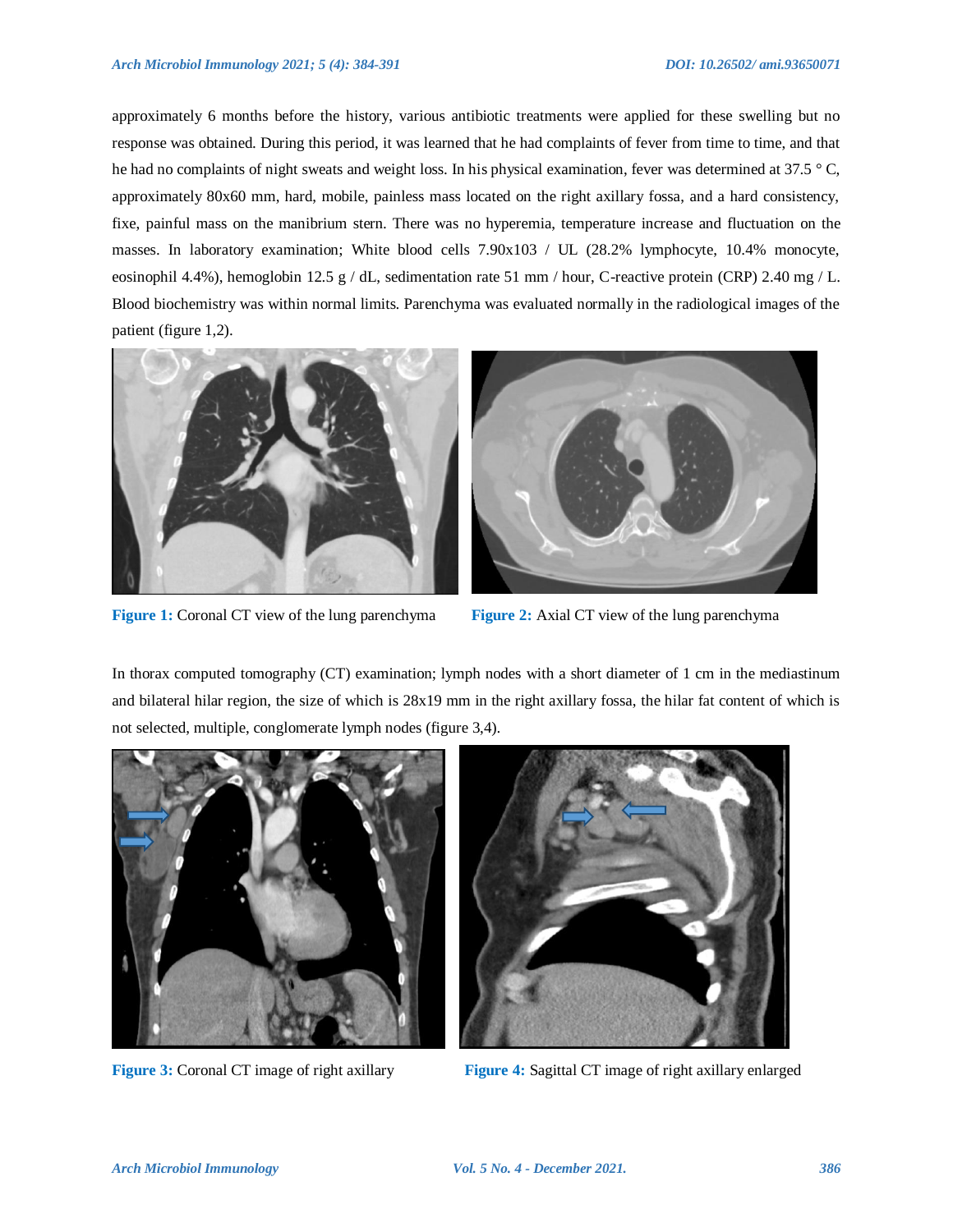approximately 6 months before the history, various antibiotic treatments were applied for these swelling but no response was obtained. During this period, it was learned that he had complaints of fever from time to time, and that he had no complaints of night sweats and weight loss. In his physical examination, fever was determined at 37.5 °C, approximately 80x60 mm, hard, mobile, painless mass located on the right axillary fossa, and a hard consistency, fixe, painful mass on the manibrium stern. There was no hyperemia, temperature increase and fluctuation on the masses. In laboratory examination; White blood cells 7.90x103 / UL (28.2% lymphocyte, 10.4% monocyte, eosinophil 4.4%), hemoglobin 12.5 g / dL, sedimentation rate 51 mm / hour, C-reactive protein (CRP) 2.40 mg / L. Blood biochemistry was within normal limits. Parenchyma was evaluated normally in the radiological images of the patient (figure 1,2).



**Figure 1:** Coronal CT view of the lung parenchyma **Figure 2:** Axial CT view of the lung parenchyma



In thorax computed tomography (CT) examination; lymph nodes with a short diameter of 1 cm in the mediastinum and bilateral hilar region, the size of which is 28x19 mm in the right axillary fossa, the hilar fat content of which is not selected, multiple, conglomerate lymph nodes (figure 3,4).





**Figure 3:** Coronal CT image of right axillary **Figure 4:** Sagittal CT image of right axillary enlarged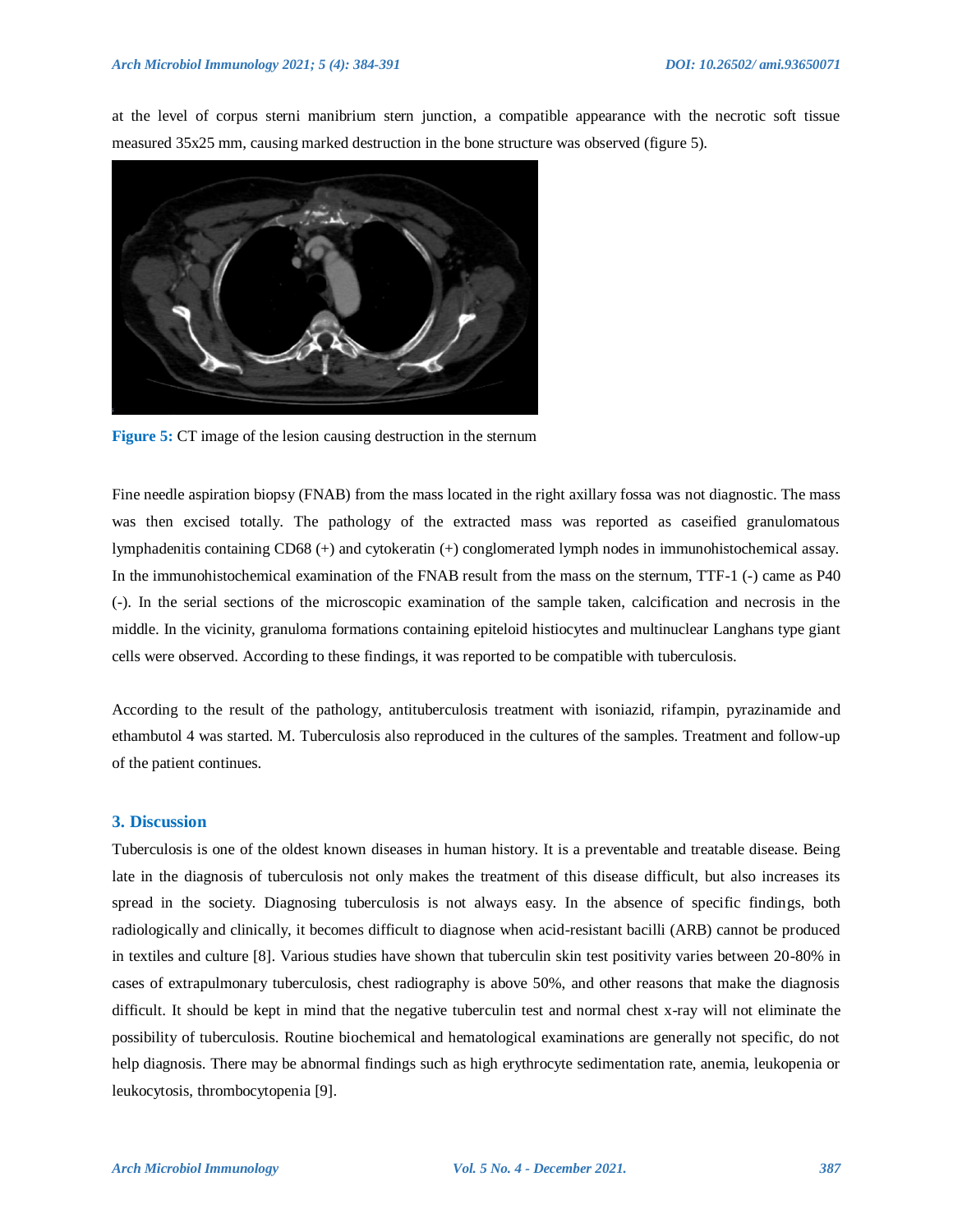at the level of corpus sterni manibrium stern junction, a compatible appearance with the necrotic soft tissue measured 35x25 mm, causing marked destruction in the bone structure was observed (figure 5).



**Figure 5:** CT image of the lesion causing destruction in the sternum

Fine needle aspiration biopsy (FNAB) from the mass located in the right axillary fossa was not diagnostic. The mass was then excised totally. The pathology of the extracted mass was reported as caseified granulomatous lymphadenitis containing CD68 (+) and cytokeratin (+) conglomerated lymph nodes in immunohistochemical assay. In the immunohistochemical examination of the FNAB result from the mass on the sternum, TTF-1 (-) came as P40 (-). In the serial sections of the microscopic examination of the sample taken, calcification and necrosis in the middle. In the vicinity, granuloma formations containing epiteloid histiocytes and multinuclear Langhans type giant cells were observed. According to these findings, it was reported to be compatible with tuberculosis.

According to the result of the pathology, antituberculosis treatment with isoniazid, rifampin, pyrazinamide and ethambutol 4 was started. M. Tuberculosis also reproduced in the cultures of the samples. Treatment and follow-up of the patient continues.

#### **3. Discussion**

Tuberculosis is one of the oldest known diseases in human history. It is a preventable and treatable disease. Being late in the diagnosis of tuberculosis not only makes the treatment of this disease difficult, but also increases its spread in the society. Diagnosing tuberculosis is not always easy. In the absence of specific findings, both radiologically and clinically, it becomes difficult to diagnose when acid-resistant bacilli (ARB) cannot be produced in textiles and culture [8]. Various studies have shown that tuberculin skin test positivity varies between 20-80% in cases of extrapulmonary tuberculosis, chest radiography is above 50%, and other reasons that make the diagnosis difficult. It should be kept in mind that the negative tuberculin test and normal chest x-ray will not eliminate the possibility of tuberculosis. Routine biochemical and hematological examinations are generally not specific, do not help diagnosis. There may be abnormal findings such as high erythrocyte sedimentation rate, anemia, leukopenia or leukocytosis, thrombocytopenia [9].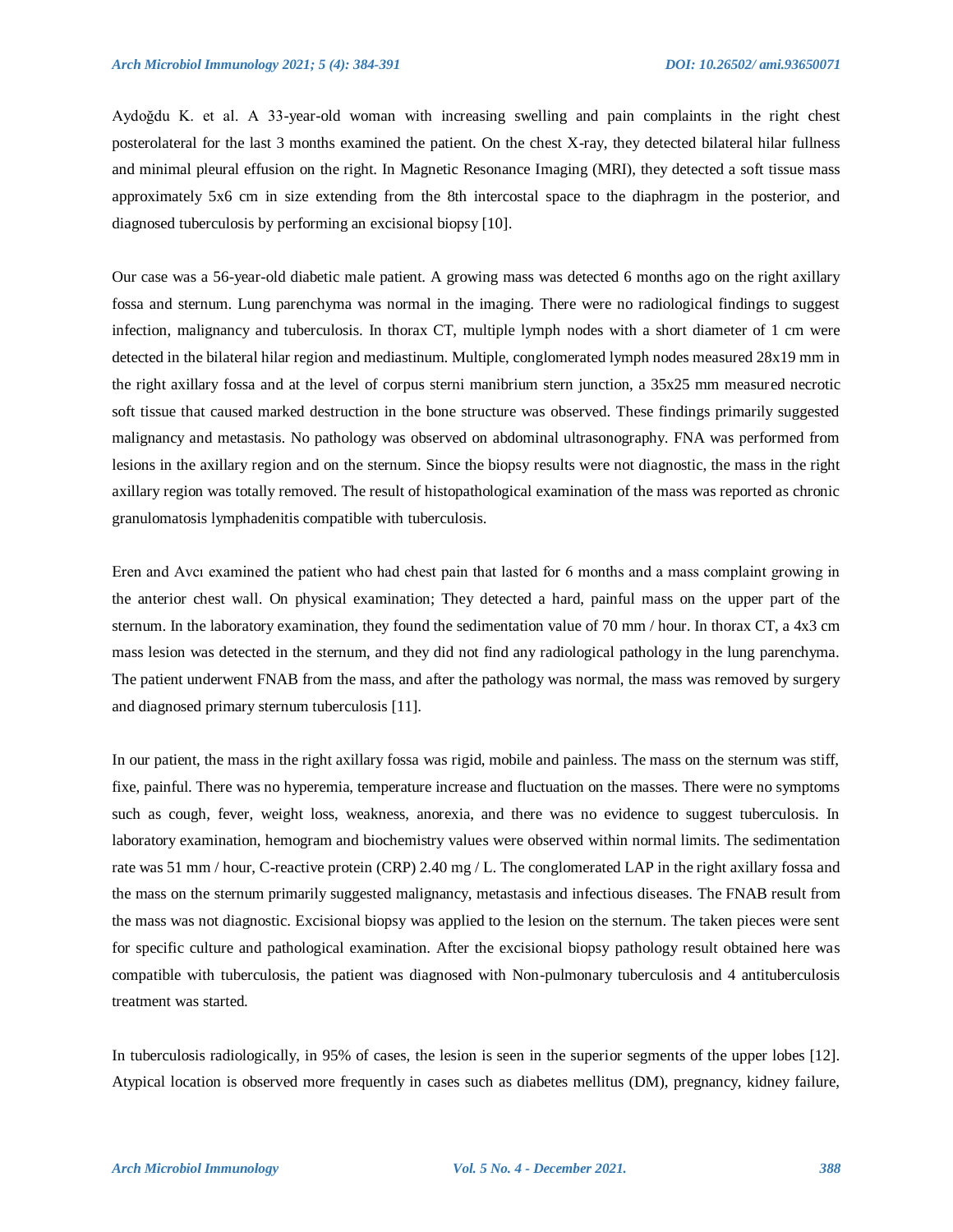Aydoğdu K. et al. A 33-year-old woman with increasing swelling and pain complaints in the right chest posterolateral for the last 3 months examined the patient. On the chest X-ray, they detected bilateral hilar fullness and minimal pleural effusion on the right. In Magnetic Resonance Imaging (MRI), they detected a soft tissue mass approximately 5x6 cm in size extending from the 8th intercostal space to the diaphragm in the posterior, and diagnosed tuberculosis by performing an excisional biopsy [10].

Our case was a 56-year-old diabetic male patient. A growing mass was detected 6 months ago on the right axillary fossa and sternum. Lung parenchyma was normal in the imaging. There were no radiological findings to suggest infection, malignancy and tuberculosis. In thorax CT, multiple lymph nodes with a short diameter of 1 cm were detected in the bilateral hilar region and mediastinum. Multiple, conglomerated lymph nodes measured 28x19 mm in the right axillary fossa and at the level of corpus sterni manibrium stern junction, a 35x25 mm measured necrotic soft tissue that caused marked destruction in the bone structure was observed. These findings primarily suggested malignancy and metastasis. No pathology was observed on abdominal ultrasonography. FNA was performed from lesions in the axillary region and on the sternum. Since the biopsy results were not diagnostic, the mass in the right axillary region was totally removed. The result of histopathological examination of the mass was reported as chronic granulomatosis lymphadenitis compatible with tuberculosis.

Eren and Avcı examined the patient who had chest pain that lasted for 6 months and a mass complaint growing in the anterior chest wall. On physical examination; They detected a hard, painful mass on the upper part of the sternum. In the laboratory examination, they found the sedimentation value of 70 mm / hour. In thorax CT, a 4x3 cm mass lesion was detected in the sternum, and they did not find any radiological pathology in the lung parenchyma. The patient underwent FNAB from the mass, and after the pathology was normal, the mass was removed by surgery and diagnosed primary sternum tuberculosis [11].

In our patient, the mass in the right axillary fossa was rigid, mobile and painless. The mass on the sternum was stiff, fixe, painful. There was no hyperemia, temperature increase and fluctuation on the masses. There were no symptoms such as cough, fever, weight loss, weakness, anorexia, and there was no evidence to suggest tuberculosis. In laboratory examination, hemogram and biochemistry values were observed within normal limits. The sedimentation rate was 51 mm / hour, C-reactive protein (CRP) 2.40 mg / L. The conglomerated LAP in the right axillary fossa and the mass on the sternum primarily suggested malignancy, metastasis and infectious diseases. The FNAB result from the mass was not diagnostic. Excisional biopsy was applied to the lesion on the sternum. The taken pieces were sent for specific culture and pathological examination. After the excisional biopsy pathology result obtained here was compatible with tuberculosis, the patient was diagnosed with Non-pulmonary tuberculosis and 4 antituberculosis treatment was started.

In tuberculosis radiologically, in 95% of cases, the lesion is seen in the superior segments of the upper lobes [12]. Atypical location is observed more frequently in cases such as diabetes mellitus (DM), pregnancy, kidney failure,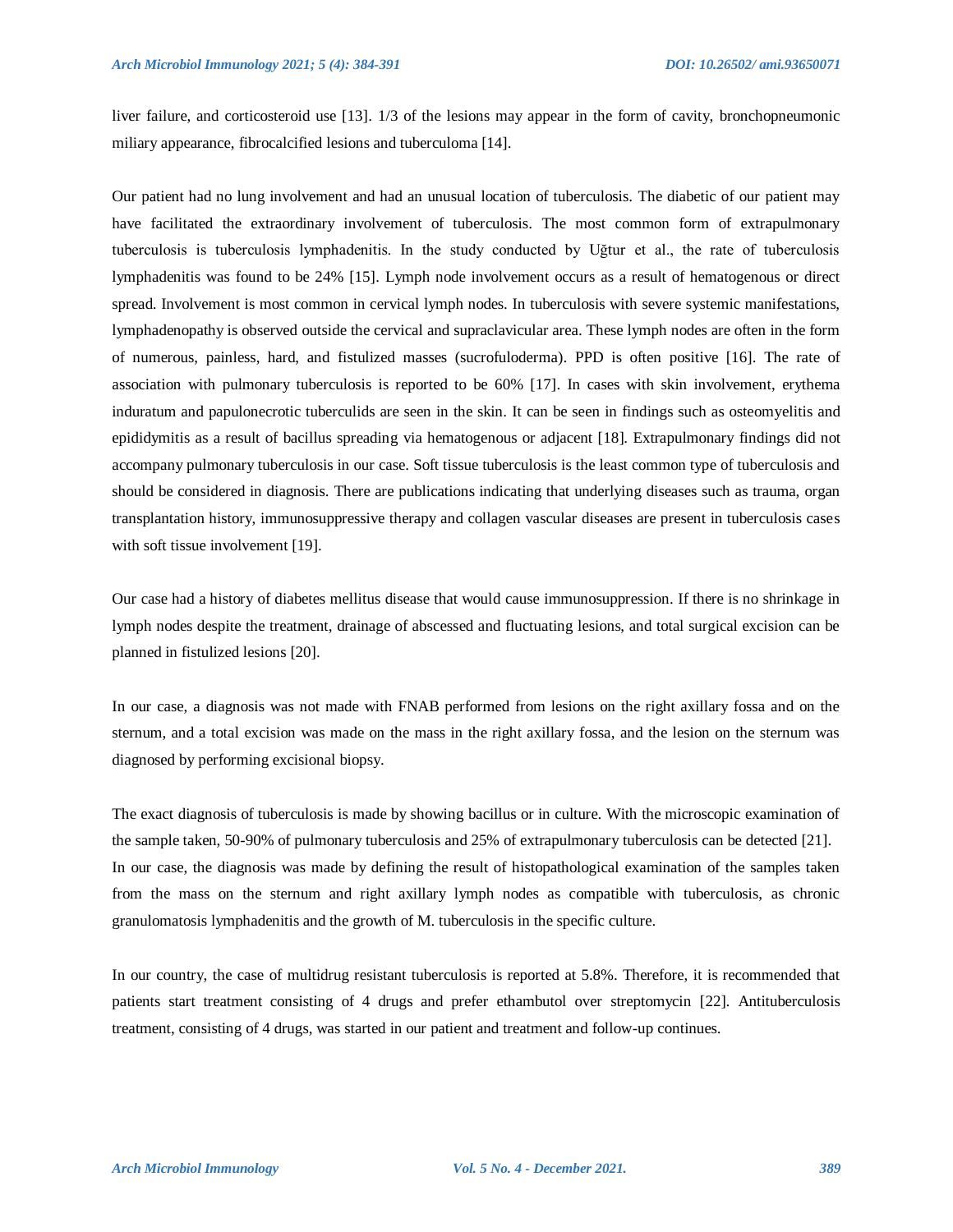liver failure, and corticosteroid use [13]. 1/3 of the lesions may appear in the form of cavity, bronchopneumonic miliary appearance, fibrocalcified lesions and tuberculoma [14].

Our patient had no lung involvement and had an unusual location of tuberculosis. The diabetic of our patient may have facilitated the extraordinary involvement of tuberculosis. The most common form of extrapulmonary tuberculosis is tuberculosis lymphadenitis. In the study conducted by Uğtur et al., the rate of tuberculosis lymphadenitis was found to be 24% [15]. Lymph node involvement occurs as a result of hematogenous or direct spread. Involvement is most common in cervical lymph nodes. In tuberculosis with severe systemic manifestations, lymphadenopathy is observed outside the cervical and supraclavicular area. These lymph nodes are often in the form of numerous, painless, hard, and fistulized masses (sucrofuloderma). PPD is often positive [16]. The rate of association with pulmonary tuberculosis is reported to be 60% [17]. In cases with skin involvement, erythema induratum and papulonecrotic tuberculids are seen in the skin. It can be seen in findings such as osteomyelitis and epididymitis as a result of bacillus spreading via hematogenous or adjacent [18]. Extrapulmonary findings did not accompany pulmonary tuberculosis in our case. Soft tissue tuberculosis is the least common type of tuberculosis and should be considered in diagnosis. There are publications indicating that underlying diseases such as trauma, organ transplantation history, immunosuppressive therapy and collagen vascular diseases are present in tuberculosis cases with soft tissue involvement [19].

Our case had a history of diabetes mellitus disease that would cause immunosuppression. If there is no shrinkage in lymph nodes despite the treatment, drainage of abscessed and fluctuating lesions, and total surgical excision can be planned in fistulized lesions [20].

In our case, a diagnosis was not made with FNAB performed from lesions on the right axillary fossa and on the sternum, and a total excision was made on the mass in the right axillary fossa, and the lesion on the sternum was diagnosed by performing excisional biopsy.

The exact diagnosis of tuberculosis is made by showing bacillus or in culture. With the microscopic examination of the sample taken, 50-90% of pulmonary tuberculosis and 25% of extrapulmonary tuberculosis can be detected [21]. In our case, the diagnosis was made by defining the result of histopathological examination of the samples taken from the mass on the sternum and right axillary lymph nodes as compatible with tuberculosis, as chronic granulomatosis lymphadenitis and the growth of M. tuberculosis in the specific culture.

In our country, the case of multidrug resistant tuberculosis is reported at 5.8%. Therefore, it is recommended that patients start treatment consisting of 4 drugs and prefer ethambutol over streptomycin [22]. Antituberculosis treatment, consisting of 4 drugs, was started in our patient and treatment and follow-up continues.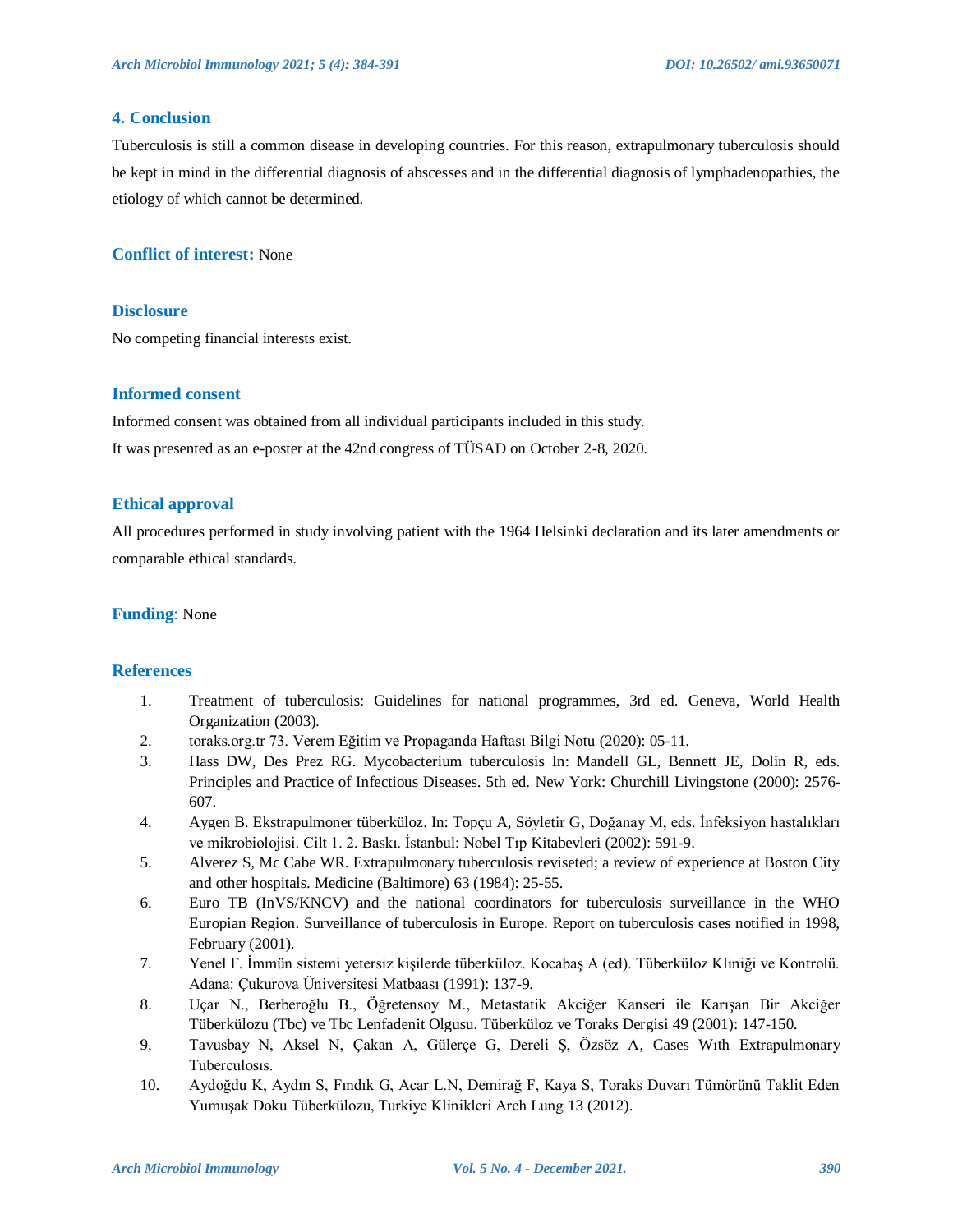#### **4. Conclusion**

Tuberculosis is still a common disease in developing countries. For this reason, extrapulmonary tuberculosis should be kept in mind in the differential diagnosis of abscesses and in the differential diagnosis of lymphadenopathies, the etiology of which cannot be determined.

#### **Conflict of interest:** None

#### **Disclosure**

No competing financial interests exist.

#### **Informed consent**

Informed consent was obtained from all individual participants included in this study. It was presented as an e-poster at the 42nd congress of TÜSAD on October 2-8, 2020.

#### **Ethical approval**

All procedures performed in study involving patient with the 1964 Helsinki declaration and its later amendments or comparable ethical standards.

#### **Funding**: None

#### **References**

- 1. Treatment of tuberculosis: Guidelines for national programmes, 3rd ed. Geneva, World Health Organization (2003).
- 2. toraks.org.tr 73. Verem Eğitim ve Propaganda Haftası Bilgi Notu (2020): 05-11.
- 3. Hass DW, Des Prez RG. Mycobacterium tuberculosis In: Mandell GL, Bennett JE, Dolin R, eds. Principles and Practice of Infectious Diseases. 5th ed. New York: Churchill Livingstone (2000): 2576- 607.
- 4. Aygen B. Ekstrapulmoner tüberküloz. In: Topçu A, Söyletir G, Doğanay M, eds. İnfeksiyon hastalıkları ve mikrobiolojisi. Cilt 1. 2. Baskı. İstanbul: Nobel Tıp Kitabevleri (2002): 591-9.
- 5. Alverez S, Mc Cabe WR. Extrapulmonary tuberculosis reviseted; a review of experience at Boston City and other hospitals. Medicine (Baltimore) 63 (1984): 25-55.
- 6. Euro TB (InVS/KNCV) and the national coordinators for tuberculosis surveillance in the WHO Europian Region. Surveillance of tuberculosis in Europe. Report on tuberculosis cases notified in 1998, February (2001).
- 7. Yenel F. İmmün sistemi yetersiz kişilerde tüberküloz. Kocabaş A (ed). Tüberküloz Kliniği ve Kontrolü. Adana: Çukurova Üniversitesi Matbaası (1991): 137-9.
- 8. Uçar N., Berberoğlu B., Öğretensoy M., Metastatik Akciğer Kanseri ile Karışan Bir Akciğer Tüberkülozu (Tbc) ve Tbc Lenfadenit Olgusu. Tüberküloz ve Toraks Dergisi 49 (2001): 147-150.
- 9. Tavusbay N, Aksel N, Çakan A, Gülerçe G, Dereli Ş, Özsöz A, Cases Wıth Extrapulmonary Tuberculosıs.
- 10. Aydoğdu K, Aydın S, Fındık G, Acar L.N, Demirağ F, Kaya S, Toraks Duvarı Tümörünü Taklit Eden Yumuşak Doku Tüberkülozu, Turkiye Klinikleri Arch Lung 13 (2012).